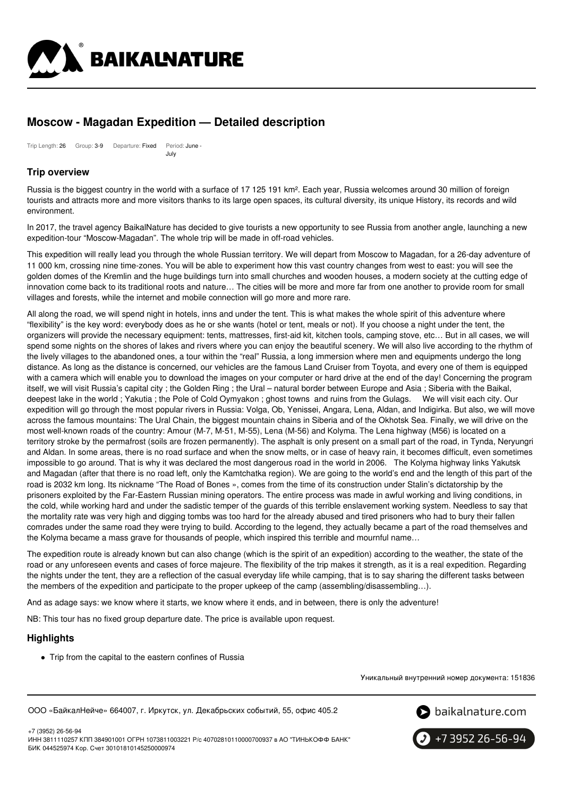

# **Moscow - Magadan Expedition — Detailed description**

Trip Length: 26 Group: 3-9 Departure: Fixed Period: June - July

### **Trip overview**

Russia is the biggest country in the world with a surface of 17 125 191 km². Each year, Russia welcomes around 30 million of foreign tourists and attracts more and more visitors thanks to its large open spaces, its cultural diversity, its unique History, its records and wild environment.

In 2017, the travel agency BaikalNature has decided to give tourists a new opportunity to see Russia from another angle, launching a new expedition-tour "Moscow-Magadan". The whole trip will be made in off-road vehicles.

This expedition will really lead you through the whole Russian territory. We will depart from Moscow to Magadan, for a 26-day adventure of 11 000 km, crossing nine time-zones. You will be able to experiment how this vast country changes from west to east: you will see the golden domes of the Kremlin and the huge buildings turn into small churches and wooden houses, a modern society at the cutting edge of innovation come back to its traditional roots and nature… The cities will be more and more far from one another to provide room for small villages and forests, while the internet and mobile connection will go more and more rare.

All along the road, we will spend night in hotels, inns and under the tent. This is what makes the whole spirit of this adventure where "flexibility" is the key word: everybody does as he or she wants (hotel or tent, meals or not). If you choose a night under the tent, the organizers will provide the necessary equipment: tents, mattresses, first-aid kit, kitchen tools, camping stove, etc… But in all cases, we will spend some nights on the shores of lakes and rivers where you can enjoy the beautiful scenery. We will also live according to the rhythm of the lively villages to the abandoned ones, a tour within the "real" Russia, a long immersion where men and equipments undergo the long distance. As long as the distance is concerned, our vehicles are the famous Land Cruiser from Toyota, and every one of them is equipped with a camera which will enable you to download the images on your computer or hard drive at the end of the day! Concerning the program itself, we will visit Russia's capital city ; the Golden Ring ; the Ural – natural border between Europe and Asia ; Siberia with the Baikal, deepest lake in the world ; Yakutia ; the Pole of Cold Oymyakon ; ghost towns and ruins from the Gulags. We will visit each city. Our expedition will go through the most popular rivers in Russia: Volga, Ob, Yenissei, Angara, Lena, Aldan, and Indigirka. But also, we will move across the famous mountains: The Ural Chain, the biggest mountain chains in Siberia and of the Okhotsk Sea. Finally, we will drive on the most well-known roads of the country: Amour (M-7, M-51, M-55), Lena (M-56) and Kolyma. The Lena highway (M56) is located on a territory stroke by the permafrost (soils are frozen permanently). The asphalt is only present on a small part of the road, in Tynda, Neryungri and Aldan. In some areas, there is no road surface and when the snow melts, or in case of heavy rain, it becomes difficult, even sometimes impossible to go around. That is why it was declared the most dangerous road in the world in 2006. The Kolyma highway links Yakutsk and Magadan (after that there is no road left, only the Kamtchatka region). We are going to the world's end and the length of this part of the road is 2032 km long. Its nickname "The Road of Bones », comes from the time of its construction under Stalin's dictatorship by the prisoners exploited by the Far-Eastern Russian mining operators. The entire process was made in awful working and living conditions, in the cold, while working hard and under the sadistic temper of the guards of this terrible enslavement working system. Needless to say that the mortality rate was very high and digging tombs was too hard for the already abused and tired prisoners who had to bury their fallen comrades under the same road they were trying to build. According to the legend, they actually became a part of the road themselves and the Kolyma became a mass grave for thousands of people, which inspired this terrible and mournful name…

The expedition route is already known but can also change (which is the spirit of an expedition) according to the weather, the state of the road or any unforeseen events and cases of force majeure. The flexibility of the trip makes it strength, as it is a real expedition. Regarding the nights under the tent, they are a reflection of the casual everyday life while camping, that is to say sharing the different tasks between the members of the expedition and participate to the proper upkeep of the camp (assembling/disassembling…).

And as adage says: we know where it starts, we know where it ends, and in between, there is only the adventure!

NB: This tour has no fixed group departure date. The price is available upon request.

### **Highlights**

• Trip from the capital to the eastern confines of Russia

Уникальный внутренний номер документа: 151836

ООО «БайкалНейче» 664007, г. Иркутск, ул. Декабрьских событий, 55, офис 405.2



+7 (3952) 26-56-94 ИНН 3811110257 КПП 384901001 ОГРН 1073811003221 Р/с 40702810110000700937 в АО "ТИНЬКОФФ БАНК" БИК 044525974 Кор. Счет 30101810145250000974

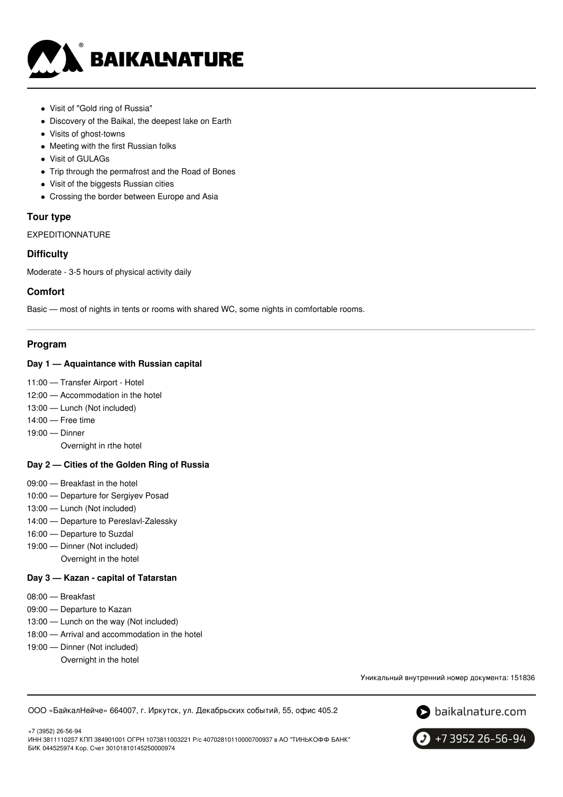

- Visit of "Gold ring of Russia"
- Discovery of the Baikal, the deepest lake on Earth
- Visits of ghost-towns
- Meeting with the first Russian folks
- Visit of GULAGs
- Trip through the permafrost and the Road of Bones
- Visit of the biggests Russian cities
- Crossing the border between Europe and Asia

### **Tour type**

EXPEDITIONNATURE

### **Difficulty**

Moderate - 3-5 hours of physical activity daily

### **Comfort**

Basic — most of nights in tents or rooms with shared WC, some nights in comfortable rooms.

### **Program**

### **Day 1 — Aquaintance with Russian capital**

- 11:00 Transfer Airport Hotel
- 12:00 Accommodation in the hotel
- 13:00 Lunch (Not included)
- 14:00 Free time
- 19:00 Dinner
	- Overnight in rthe hotel

### **Day 2 — Cities of the Golden Ring of Russia**

- 09:00 Breakfast in the hotel
- 10:00 Departure for Sergiyev Posad
- 13:00 Lunch (Not included)
- 14:00 Departure to Pereslavl-Zalessky
- 16:00 Departure to Suzdal
- 19:00 Dinner (Not included) Overnight in the hotel

### **Day 3 — Kazan - capital of Tatarstan**

- 08:00 Breakfast
- 09:00 Departure to Kazan
- 13:00 Lunch on the way (Not included)
- 18:00 Arrival and accommodation in the hotel
- 19:00 Dinner (Not included) Overnight in the hotel

Уникальный внутренний номер документа: 151836

ООО «БайкалНейче» 664007, г. Иркутск, ул. Декабрьских событий, 55, офис 405.2



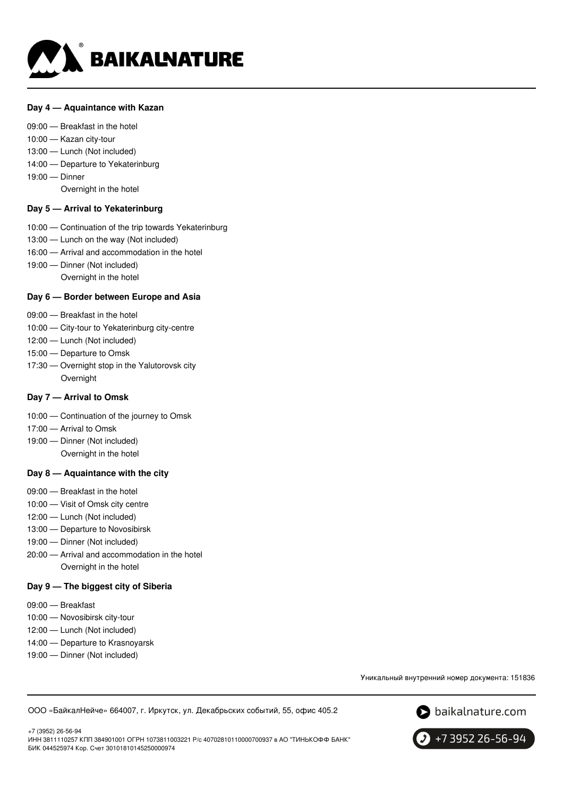

### **Day 4 — Aquaintance with Kazan**

### 09:00 — Breakfast in the hotel

- 10:00 Kazan city-tour
- 13:00 Lunch (Not included)
- 14:00 Departure to Yekaterinburg
- 19:00 Dinner

Overnight in the hotel

### **Day 5 — Arrival to Yekaterinburg**

- 10:00 Continuation of the trip towards Yekaterinburg
- 13:00 Lunch on the way (Not included)
- 16:00 Arrival and accommodation in the hotel
- 19:00 Dinner (Not included)
	- Overnight in the hotel

### **Day 6 — Border between Europe and Asia**

- 09:00 Breakfast in the hotel
- 10:00 City-tour to Yekaterinburg city-centre
- 12:00 Lunch (Not included)
- 15:00 Departure to Omsk
- 17:30 Overnight stop in the Yalutorovsk city Overnight

### **Day 7 — Arrival to Omsk**

- 10:00 Continuation of the journey to Omsk
- 17:00 Arrival to Omsk
- 19:00 Dinner (Not included) Overnight in the hotel

### **Day 8 — Aquaintance with the city**

- 09:00 Breakfast in the hotel
- 10:00 Visit of Omsk city centre
- 12:00 Lunch (Not included)
- 13:00 Departure to Novosibirsk
- 19:00 Dinner (Not included)
- 20:00 Arrival and accommodation in the hotel Overnight in the hotel

#### **Day 9 — The biggest city of Siberia**

- 09:00 Breakfast
- 10:00 Novosibirsk city-tour
- 12:00 Lunch (Not included)
- 14:00 Departure to Krasnoyarsk
- 19:00 Dinner (Not included)

Уникальный внутренний номер документа: 151836

ООО «БайкалНейче» 664007, г. Иркутск, ул. Декабрьских событий, 55, офис 405.2



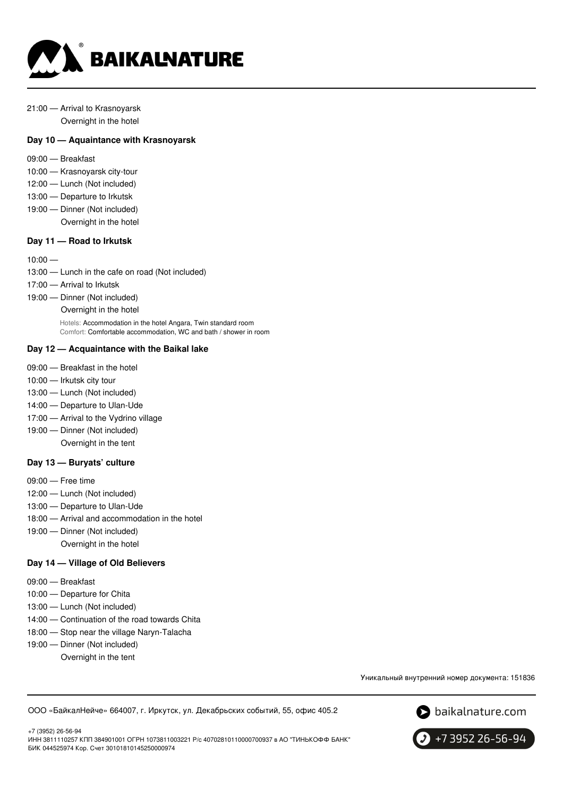

### 21:00 — Arrival to Krasnoyarsk Overnight in the hotel

## **Day 10 — Aquaintance with Krasnoyarsk**

- 09:00 Breakfast
- 10:00 Krasnoyarsk city-tour
- 12:00 Lunch (Not included)
- 13:00 Departure to Irkutsk
- 19:00 Dinner (Not included)
	- Overnight in the hotel

### **Day 11 — Road to Irkutsk**

#### $10:00 -$

- 13:00 Lunch in the cafe on road (Not included)
- 17:00 Arrival to Irkutsk
- 19:00 Dinner (Not included)
	- Overnight in the hotel

Hotels: Accommodation in the hotel Angara, Twin standard room Comfort: Comfortable accommodation, WC and bath / shower in room

### **Day 12 — Acquaintance with the Baikal lake**

- 09:00 Breakfast in the hotel
- 10:00 Irkutsk city tour
- 13:00 Lunch (Not included)
- 14:00 Departure to Ulan-Ude
- 17:00 Arrival to the Vydrino village
- 19:00 Dinner (Not included) Overnight in the tent

#### **Day 13 — Buryats' culture**

- 09:00 Free time
- 12:00 Lunch (Not included)
- 13:00 Departure to Ulan-Ude
- 18:00 Arrival and accommodation in the hotel
- 19:00 Dinner (Not included) Overnight in the hotel

### **Day 14 — Village of Old Believers**

- 09:00 Breakfast
- 10:00 Departure for Chita
- 13:00 Lunch (Not included)
- 14:00 Continuation of the road towards Chita
- 18:00 Stop near the village Naryn-Talacha
- 19:00 Dinner (Not included)
	- Overnight in the tent

Уникальный внутренний номер документа: 151836

ООО «БайкалНейче» 664007, г. Иркутск, ул. Декабрьских событий, 55, офис 405.2





+7 3952 26-56-94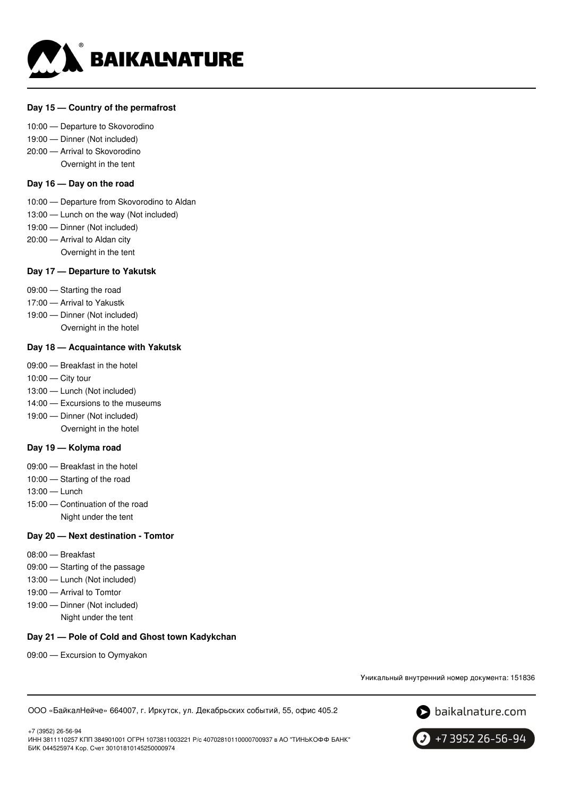

### **Day 15 — Country of the permafrost**

#### 10:00 — Departure to Skovorodino

- 19:00 Dinner (Not included)
- 20:00 Arrival to Skovorodino
	- Overnight in the tent

### **Day 16 — Day on the road**

- 10:00 Departure from Skovorodino to Aldan
- 13:00 Lunch on the way (Not included)
- 19:00 Dinner (Not included)
- 20:00 Arrival to Aldan city Overnight in the tent

### **Day 17 — Departure to Yakutsk**

- 09:00 Starting the road
- 17:00 Arrival to Yakustk
- 19:00 Dinner (Not included) Overnight in the hotel

### **Day 18 — Acquaintance with Yakutsk**

- 09:00 Breakfast in the hotel
- 10:00 City tour
- 13:00 Lunch (Not included)
- 14:00 Excursions to the museums
- 19:00 Dinner (Not included) Overnight in the hotel

#### **Day 19 — Kolyma road**

- 09:00 Breakfast in the hotel
- 10:00 Starting of the road
- 13:00 Lunch
- 15:00 Continuation of the road Night under the tent

### **Day 20 — Next destination - Tomtor**

- 08:00 Breakfast
- 09:00 Starting of the passage
- 13:00 Lunch (Not included)
- 19:00 Arrival to Tomtor
- 19:00 Dinner (Not included) Night under the tent

### **Day 21 — Pole of Cold and Ghost town Kadykchan**

09:00 — Excursion to Oymyakon

Уникальный внутренний номер документа: 151836

ООО «БайкалНейче» 664007, г. Иркутск, ул. Декабрьских событий, 55, офис 405.2



+7 (3952) 26-56-94 ИНН 3811110257 КПП 384901001 ОГРН 1073811003221 Р/с 40702810110000700937 в АО "ТИНЬКОФФ БАНК" БИК 044525974 Кор. Счет 30101810145250000974

+7 3952 26-56-94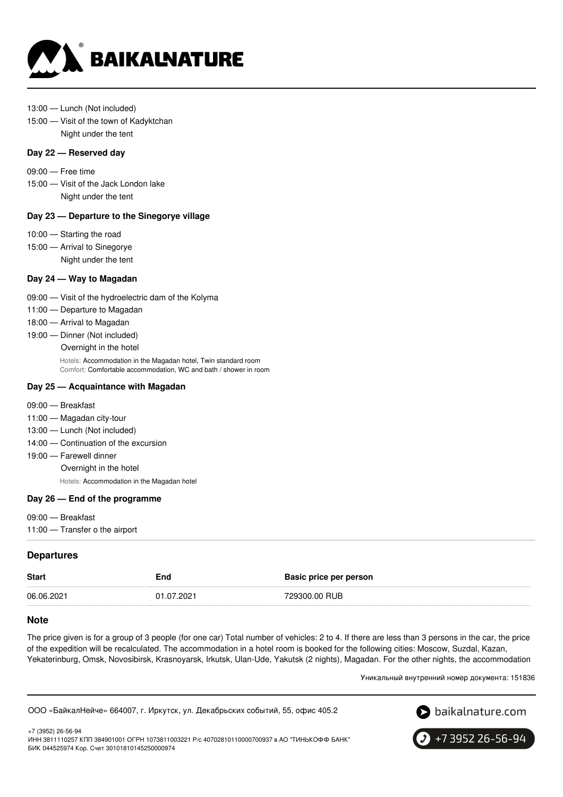

- 13:00 Lunch (Not included)
- 15:00 Visit of the town of Kadyktchan Night under the tent

### **Day 22 — Reserved day**

- 09:00 Free time
- 15:00 Visit of the Jack London lake Night under the tent

### **Day 23 — Departure to the Sinegorye village**

- 10:00 Starting the road
- 15:00 Arrival to Sinegorye Night under the tent

### **Day 24 — Way to Magadan**

- 09:00 Visit of the hydroelectric dam of the Kolyma
- 11:00 Departure to Magadan
- 18:00 Arrival to Magadan
- 19:00 Dinner (Not included)

Overnight in the hotel

Hotels: Accommodation in the Magadan hotel, Twin standard room Comfort: Comfortable accommodation, WC and bath / shower in room

#### **Day 25 — Acquaintance with Magadan**

- 09:00 Breakfast
- 11:00 Magadan city-tour
- 13:00 Lunch (Not included)
- 14:00 Continuation of the excursion
- 19:00 Farewell dinner

Overnight in the hotel

Hotels: Accommodation in the Magadan hotel

#### **Day 26 — End of the programme**

- 09:00 Breakfast
- 11:00 Transfer o the airport

### **Departures**

|                                           | <b>Start</b><br>End | Basic price per person |
|-------------------------------------------|---------------------|------------------------|
| 06.06.2021<br>01.07.2021<br>729300.00 RUB |                     |                        |

### **Note**

The price given is for a group of 3 people (for one car) Total number of vehicles: 2 to 4. If there are less than 3 persons in the car, the price of the expedition will be recalculated. The accommodation in a hotel room is booked for the following cities: Moscow, Suzdal, Kazan, Yekaterinburg, Omsk, Novosibirsk, Krasnoyarsk, Irkutsk, Ulan-Ude, Yakutsk (2 nights), Magadan. For the other nights, the accommodation

Уникальный внутренний номер документа: 151836

ООО «БайкалНейче» 664007, г. Иркутск, ул. Декабрьских событий, 55, офис 405.2



+7 (3952) 26-56-94 ИНН 3811110257 КПП 384901001 ОГРН 1073811003221 Р/с 40702810110000700937 в АО "ТИНЬКОФФ БАНК" БИК 044525974 Кор. Счет 30101810145250000974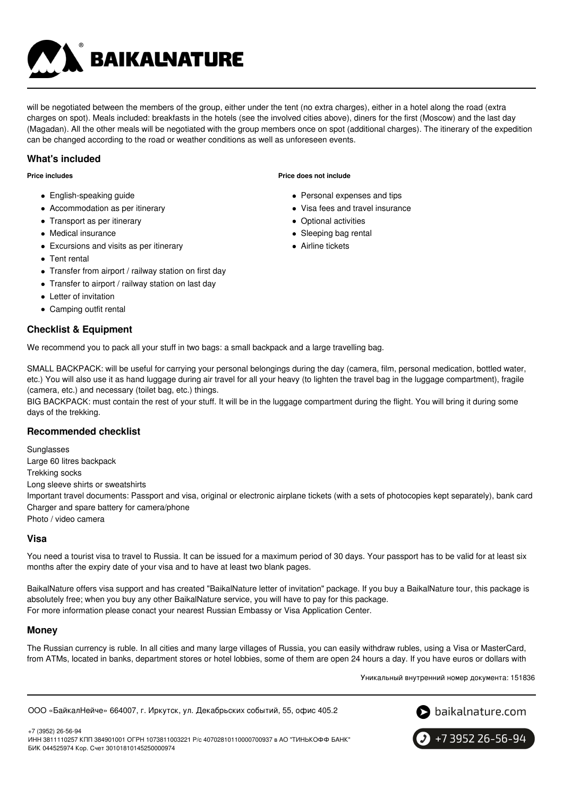

will be negotiated between the members of the group, either under the tent (no extra charges), either in a hotel along the road (extra charges on spot). Meals included: breakfasts in the hotels (see the involved cities above), diners for the first (Moscow) and the last day (Magadan). All the other meals will be negotiated with the group members once on spot (additional charges). The itinerary of the expedition can be changed according to the road or weather conditions as well as unforeseen events.

# **What's included**

**Price includes**

- English-speaking guide
- Accommodation as per itinerary
- Transport as per itinerary
- Medical insurance
- Excursions and visits as per itinerary
- Tent rental
- Transfer from airport / railway station on first day
- Transfer to airport / railway station on last day
- Letter of invitation
- Camping outfit rental

# **Checklist & Equipment**

**Price does not include**

- Personal expenses and tips
- Visa fees and travel insurance
- Optional activities
- Sleeping bag rental
- Airline tickets

We recommend you to pack all your stuff in two bags: a small backpack and a large travelling bag.

SMALL BACKPACK: will be useful for carrying your personal belongings during the day (camera, film, personal medication, bottled water, etc.) You will also use it as hand luggage during air travel for all your heavy (to lighten the travel bag in the luggage compartment), fragile (camera, etc.) and necessary (toilet bag, etc.) things.

BIG BACKPACK: must contain the rest of your stuff. It will be in the luggage compartment during the flight. You will bring it during some days of the trekking.

### **Recommended checklist**

**Sunglasses** Large 60 litres backpack Trekking socks Long sleeve shirts or sweatshirts Important travel documents: Passport and visa, original or electronic airplane tickets (with a sets of photocopies kept separately), bank card Charger and spare battery for camera/phone Photo / video camera

### **Visa**

You need a tourist visa to travel to Russia. It can be issued for a maximum period of 30 days. Your passport has to be valid for at least six months after the expiry date of your visa and to have at least two blank pages.

BaikalNature offers visa support and has created "BaikalNature letter of invitation" package. If you buy a BaikalNature tour, this package is absolutely free; when you buy any other BaikalNature service, you will have to pay for this package. For more information please conact your nearest Russian Embassy or Visa Application Center.

### **Money**

The Russian currency is ruble. In all cities and many large villages of Russia, you can easily withdraw rubles, using a Visa or MasterCard, from ATMs, located in banks, department stores or hotel lobbies, some of them are open 24 hours a day. If you have euros or dollars with

Уникальный внутренний номер документа: 151836

ООО «БайкалНейче» 664007, г. Иркутск, ул. Декабрьских событий, 55, офис 405.2